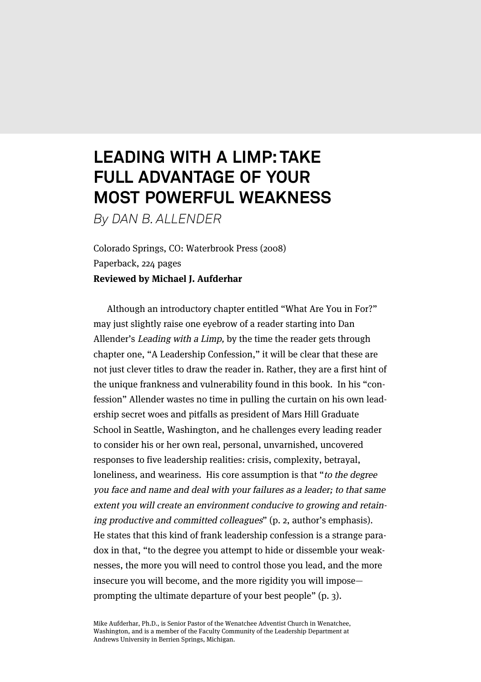## **LEADING WITH A LIMP: TAKE FULL ADVANTAGE OF YOUR MOST POWERFUL WEAKNESS**

*By DAN B. ALLENDER*

Colorado Springs, CO: Waterbrook Press (2008) Paperback, 224 pages **Reviewed by Michael J. Aufderhar**

Although an introductory chapter entitled "What Are You in For?" may just slightly raise one eyebrow of a reader starting into Dan Allender's Leading with a Limp, by the time the reader gets through chapter one, "A Leadership Confession," it will be clear that these are not just clever titles to draw the reader in. Rather, they are a first hint of the unique frankness and vulnerability found in this book. In his "confession" Allender wastes no time in pulling the curtain on his own leadership secret woes and pitfalls as president of Mars Hill Graduate School in Seattle, Washington, and he challenges every leading reader to consider his or her own real, personal, unvarnished, uncovered responses to five leadership realities: crisis, complexity, betrayal, loneliness, and weariness. His core assumption is that "to the degree you face and name and deal with your failures as a leader; to that same extent you will create an environment conducive to growing and retaining productive and committed colleagues" (p. 2, author's emphasis). He states that this kind of frank leadership confession is a strange paradox in that, "to the degree you attempt to hide or dissemble your weaknesses, the more you will need to control those you lead, and the more insecure you will become, and the more rigidity you will impose prompting the ultimate departure of your best people" (p. 3).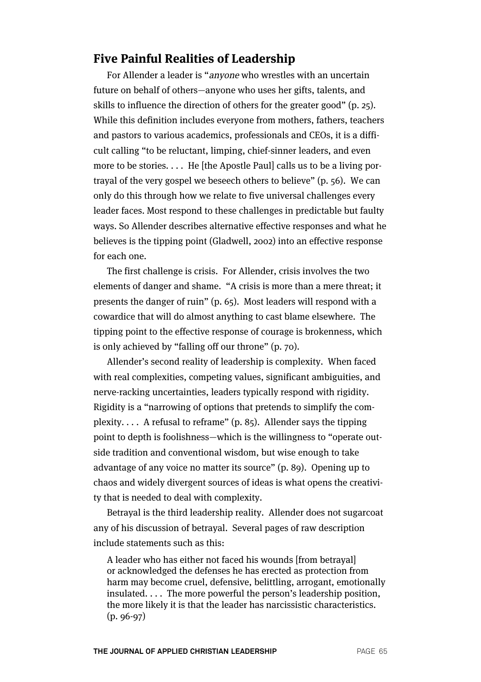## **Five Painful Realities of Leadership**

For Allender a leader is "anyone who wrestles with an uncertain future on behalf of others—anyone who uses her gifts, talents, and skills to influence the direction of others for the greater good" (p. 25). While this definition includes everyone from mothers, fathers, teachers and pastors to various academics, professionals and CEOs, it is a difficult calling "to be reluctant, limping, chief-sinner leaders, and even more to be stories.... He [the Apostle Paul] calls us to be a living portrayal of the very gospel we beseech others to believe" (p. 56). We can only do this through how we relate to five universal challenges every leader faces. Most respond to these challenges in predictable but faulty ways. So Allender describes alternative effective responses and what he believes is the tipping point (Gladwell, 2002) into an effective response for each one.

The first challenge is crisis. For Allender, crisis involves the two elements of danger and shame. "A crisis is more than a mere threat; it presents the danger of ruin" (p. 65). Most leaders will respond with a cowardice that will do almost anything to cast blame elsewhere. The tipping point to the effective response of courage is brokenness, which is only achieved by "falling off our throne" (p. 70).

Allender's second reality of leadership is complexity. When faced with real complexities, competing values, significant ambiguities, and nerve-racking uncertainties, leaders typically respond with rigidity. Rigidity is a "narrowing of options that pretends to simplify the complexity.... A refusal to reframe"  $(p, 85)$ . Allender says the tipping point to depth is foolishness—which is the willingness to "operate outside tradition and conventional wisdom, but wise enough to take advantage of any voice no matter its source" (p. 89). Opening up to chaos and widely divergent sources of ideas is what opens the creativity that is needed to deal with complexity.

Betrayal is the third leadership reality. Allender does not sugarcoat any of his discussion of betrayal. Several pages of raw description include statements such as this:

A leader who has either not faced his wounds [from betrayal] or acknowledged the defenses he has erected as protection from harm may become cruel, defensive, belittling, arrogant, emotionally insulated. . . . The more powerful the person's leadership position, the more likely it is that the leader has narcissistic characteristics. (p. 96-97)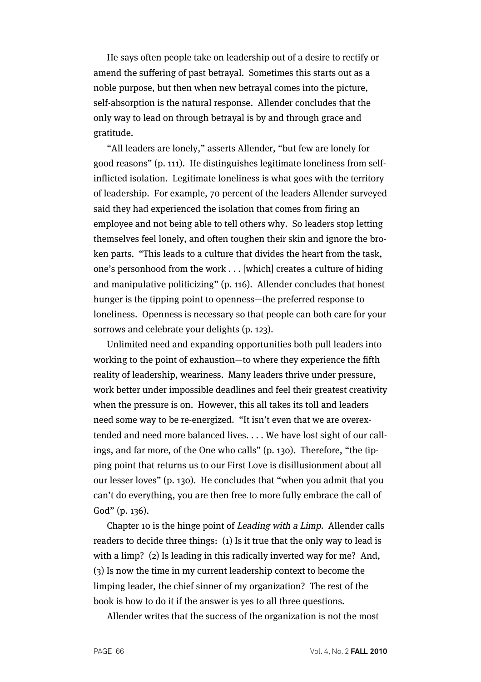He says often people take on leadership out of a desire to rectify or amend the suffering of past betrayal. Sometimes this starts out as a noble purpose, but then when new betrayal comes into the picture, self-absorption is the natural response. Allender concludes that the only way to lead on through betrayal is by and through grace and gratitude.

"All leaders are lonely," asserts Allender, "but few are lonely for good reasons" (p. 111). He distinguishes legitimate loneliness from selfinflicted isolation. Legitimate loneliness is what goes with the territory of leadership. For example, 70 percent of the leaders Allender surveyed said they had experienced the isolation that comes from firing an employee and not being able to tell others why. So leaders stop letting themselves feel lonely, and often toughen their skin and ignore the broken parts. "This leads to a culture that divides the heart from the task, one's personhood from the work . . . [which] creates a culture of hiding and manipulative politicizing" (p. 116). Allender concludes that honest hunger is the tipping point to openness—the preferred response to loneliness. Openness is necessary so that people can both care for your sorrows and celebrate your delights (p. 123).

Unlimited need and expanding opportunities both pull leaders into working to the point of exhaustion—to where they experience the fifth reality of leadership, weariness. Many leaders thrive under pressure, work better under impossible deadlines and feel their greatest creativity when the pressure is on. However, this all takes its toll and leaders need some way to be re-energized. "It isn't even that we are overextended and need more balanced lives. . . . We have lost sight of our callings, and far more, of the One who calls" (p. 130). Therefore, "the tipping point that returns us to our First Love is disillusionment about all our lesser loves" (p. 130). He concludes that "when you admit that you can't do everything, you are then free to more fully embrace the call of God" (p. 136).

Chapter 10 is the hinge point of Leading with a Limp. Allender calls readers to decide three things: (1) Is it true that the only way to lead is with a limp? (2) Is leading in this radically inverted way for me? And, (3) Is now the time in my current leadership context to become the limping leader, the chief sinner of my organization? The rest of the book is how to do it if the answer is yes to all three questions.

Allender writes that the success of the organization is not the most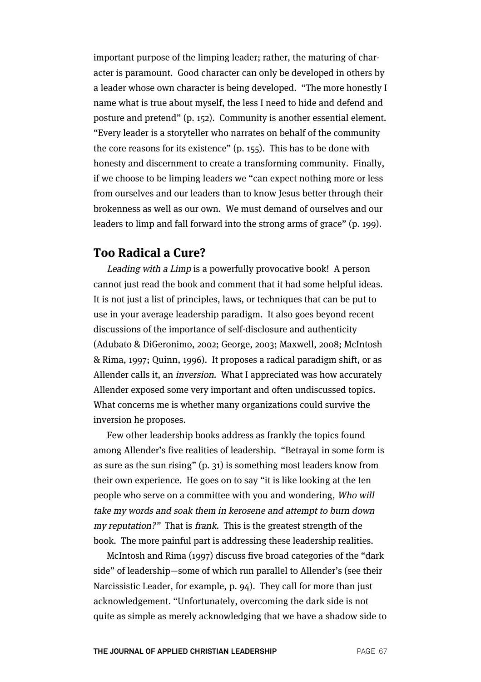important purpose of the limping leader; rather, the maturing of character is paramount. Good character can only be developed in others by a leader whose own character is being developed. "The more honestly I name what is true about myself, the less I need to hide and defend and posture and pretend" (p. 152). Community is another essential element. "Every leader is a storyteller who narrates on behalf of the community the core reasons for its existence" (p. 155). This has to be done with honesty and discernment to create a transforming community. Finally, if we choose to be limping leaders we "can expect nothing more or less from ourselves and our leaders than to know Jesus better through their brokenness as well as our own. We must demand of ourselves and our leaders to limp and fall forward into the strong arms of grace" (p. 199).

## **Too Radical a Cure?**

Leading with a Limp is a powerfully provocative book! A person cannot just read the book and comment that it had some helpful ideas. It is not just a list of principles, laws, or techniques that can be put to use in your average leadership paradigm. It also goes beyond recent discussions of the importance of self-disclosure and authenticity (Adubato & DiGeronimo, 2002; George, 2003; Maxwell, 2008; McIntosh & Rima, 1997; Quinn, 1996). It proposes a radical paradigm shift, or as Allender calls it, an inversion. What I appreciated was how accurately Allender exposed some very important and often undiscussed topics. What concerns me is whether many organizations could survive the inversion he proposes.

Few other leadership books address as frankly the topics found among Allender's five realities of leadership. "Betrayal in some form is as sure as the sun rising" (p. 31) is something most leaders know from their own experience. He goes on to say "it is like looking at the ten people who serve on a committee with you and wondering, Who will take my words and soak them in kerosene and attempt to burn down my reputation?" That is frank. This is the greatest strength of the book. The more painful part is addressing these leadership realities.

McIntosh and Rima (1997) discuss five broad categories of the "dark side" of leadership—some of which run parallel to Allender's (see their Narcissistic Leader, for example, p. 94). They call for more than just acknowledgement. "Unfortunately, overcoming the dark side is not quite as simple as merely acknowledging that we have a shadow side to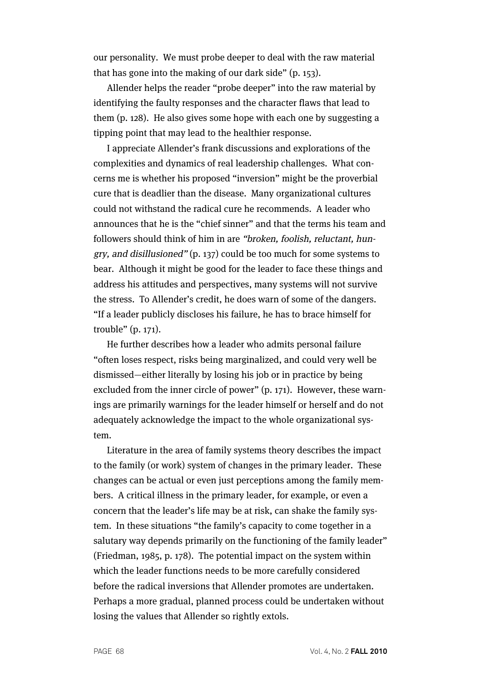our personality. We must probe deeper to deal with the raw material that has gone into the making of our dark side" (p. 153).

Allender helps the reader "probe deeper" into the raw material by identifying the faulty responses and the character flaws that lead to them (p. 128). He also gives some hope with each one by suggesting a tipping point that may lead to the healthier response.

I appreciate Allender's frank discussions and explorations of the complexities and dynamics of real leadership challenges. What concerns me is whether his proposed "inversion" might be the proverbial cure that is deadlier than the disease. Many organizational cultures could not withstand the radical cure he recommends. A leader who announces that he is the "chief sinner" and that the terms his team and followers should think of him in are "broken, foolish, reluctant, hungry, and disillusioned" (p. 137) could be too much for some systems to bear. Although it might be good for the leader to face these things and address his attitudes and perspectives, many systems will not survive the stress. To Allender's credit, he does warn of some of the dangers. "If a leader publicly discloses his failure, he has to brace himself for trouble" (p. 171).

He further describes how a leader who admits personal failure "often loses respect, risks being marginalized, and could very well be dismissed—either literally by losing his job or in practice by being excluded from the inner circle of power" (p. 171). However, these warnings are primarily warnings for the leader himself or herself and do not adequately acknowledge the impact to the whole organizational system.

Literature in the area of family systems theory describes the impact to the family (or work) system of changes in the primary leader. These changes can be actual or even just perceptions among the family members. A critical illness in the primary leader, for example, or even a concern that the leader's life may be at risk, can shake the family system. In these situations "the family's capacity to come together in a salutary way depends primarily on the functioning of the family leader" (Friedman, 1985, p. 178). The potential impact on the system within which the leader functions needs to be more carefully considered before the radical inversions that Allender promotes are undertaken. Perhaps a more gradual, planned process could be undertaken without losing the values that Allender so rightly extols.